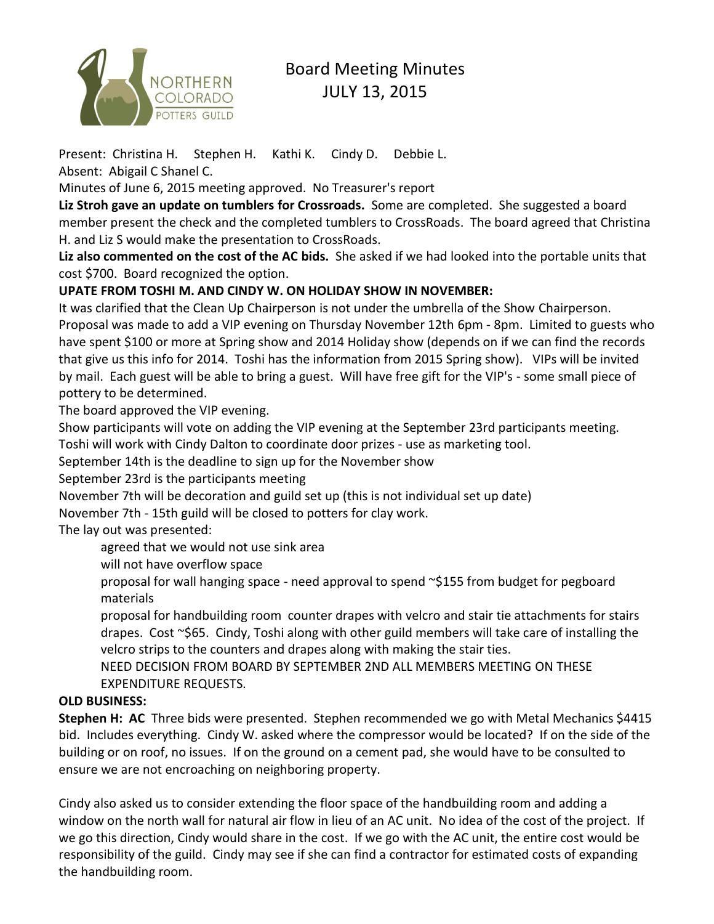

# Board Meeting Minutes JULY 13, 2015

Present: Christina H. Stephen H. Kathi K. Cindy D. Debbie L. Absent: Abigail C Shanel C.

Minutes of June 6, 2015 meeting approved. No Treasurer's report

**Liz Stroh gave an update on tumblers for Crossroads.** Some are completed. She suggested a board member present the check and the completed tumblers to CrossRoads. The board agreed that Christina H. and Liz S would make the presentation to CrossRoads.

**Liz also commented on the cost of the AC bids.** She asked if we had looked into the portable units that cost \$700. Board recognized the option.

### **UPATE FROM TOSHI M. AND CINDY W. ON HOLIDAY SHOW IN NOVEMBER:**

It was clarified that the Clean Up Chairperson is not under the umbrella of the Show Chairperson. Proposal was made to add a VIP evening on Thursday November 12th 6pm - 8pm. Limited to guests who have spent \$100 or more at Spring show and 2014 Holiday show (depends on if we can find the records that give us this info for 2014. Toshi has the information from 2015 Spring show). VIPs will be invited by mail. Each guest will be able to bring a guest. Will have free gift for the VIP's - some small piece of pottery to be determined.

The board approved the VIP evening.

Show participants will vote on adding the VIP evening at the September 23rd participants meeting. Toshi will work with Cindy Dalton to coordinate door prizes - use as marketing tool.

September 14th is the deadline to sign up for the November show

September 23rd is the participants meeting

November 7th will be decoration and guild set up (this is not individual set up date)

November 7th - 15th guild will be closed to potters for clay work.

The lay out was presented:

agreed that we would not use sink area

will not have overflow space

proposal for wall hanging space - need approval to spend ~\$155 from budget for pegboard materials

proposal for handbuilding room counter drapes with velcro and stair tie attachments for stairs drapes. Cost ~\$65. Cindy, Toshi along with other guild members will take care of installing the velcro strips to the counters and drapes along with making the stair ties.

 NEED DECISION FROM BOARD BY SEPTEMBER 2ND ALL MEMBERS MEETING ON THESE EXPENDITURE REQUESTS.

#### **OLD BUSINESS:**

**Stephen H: AC** Three bids were presented. Stephen recommended we go with Metal Mechanics \$4415 bid. Includes everything. Cindy W. asked where the compressor would be located? If on the side of the building or on roof, no issues. If on the ground on a cement pad, she would have to be consulted to ensure we are not encroaching on neighboring property.

Cindy also asked us to consider extending the floor space of the handbuilding room and adding a window on the north wall for natural air flow in lieu of an AC unit. No idea of the cost of the project. If we go this direction, Cindy would share in the cost. If we go with the AC unit, the entire cost would be responsibility of the guild. Cindy may see if she can find a contractor for estimated costs of expanding the handbuilding room.